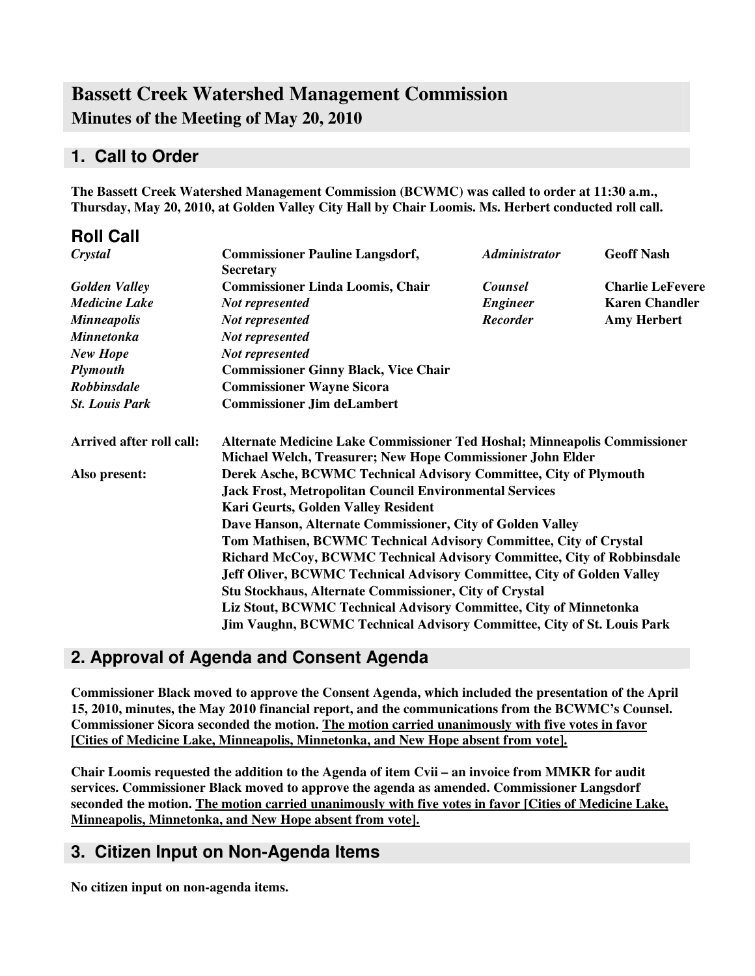# **Bassett Creek Watershed Management Commission Minutes of the Meeting of May 20, 2010**

### **1. Call to Order**

**Roll Call**

**The Bassett Creek Watershed Management Commission (BCWMC) was called to order at 11:30 a.m., Thursday, May 20, 2010, at Golden Valley City Hall by Chair Loomis. Ms. Herbert conducted roll call.**

| ROIL CAIL                |                                                                                                                                         |                      |                         |  |  |
|--------------------------|-----------------------------------------------------------------------------------------------------------------------------------------|----------------------|-------------------------|--|--|
| Crystal                  | <b>Commissioner Pauline Langsdorf,</b><br><b>Secretary</b>                                                                              | <b>Administrator</b> | <b>Geoff Nash</b>       |  |  |
| <b>Golden Valley</b>     | <b>Commissioner Linda Loomis, Chair</b>                                                                                                 | <b>Counsel</b>       | <b>Charlie LeFevere</b> |  |  |
| <b>Medicine Lake</b>     | Not represented                                                                                                                         | <b>Engineer</b>      | <b>Karen Chandler</b>   |  |  |
| <b>Minneapolis</b>       | <b>Not represented</b>                                                                                                                  | <b>Recorder</b>      | <b>Amy Herbert</b>      |  |  |
| <b>Minnetonka</b>        | <b>Not represented</b>                                                                                                                  |                      |                         |  |  |
| <b>New Hope</b>          | <b>Not represented</b>                                                                                                                  |                      |                         |  |  |
| <b>Plymouth</b>          | <b>Commissioner Ginny Black, Vice Chair</b>                                                                                             |                      |                         |  |  |
| <b>Robbinsdale</b>       | <b>Commissioner Wayne Sicora</b>                                                                                                        |                      |                         |  |  |
| <b>St. Louis Park</b>    | <b>Commissioner Jim deLambert</b>                                                                                                       |                      |                         |  |  |
| Arrived after roll call: | Alternate Medicine Lake Commissioner Ted Hoshal; Minneapolis Commissioner<br>Michael Welch, Treasurer; New Hope Commissioner John Elder |                      |                         |  |  |
| Also present:            | Derek Asche, BCWMC Technical Advisory Committee, City of Plymouth                                                                       |                      |                         |  |  |
|                          | <b>Jack Frost, Metropolitan Council Environmental Services</b>                                                                          |                      |                         |  |  |
|                          | Kari Geurts, Golden Valley Resident                                                                                                     |                      |                         |  |  |
|                          | Dave Hanson, Alternate Commissioner, City of Golden Valley                                                                              |                      |                         |  |  |
|                          | Tom Mathisen, BCWMC Technical Advisory Committee, City of Crystal                                                                       |                      |                         |  |  |
|                          | Richard McCoy, BCWMC Technical Advisory Committee, City of Robbinsdale                                                                  |                      |                         |  |  |
|                          | <b>Jeff Oliver, BCWMC Technical Advisory Committee, City of Golden Valley</b>                                                           |                      |                         |  |  |
|                          | Stu Stockhaus, Alternate Commissioner, City of Crystal                                                                                  |                      |                         |  |  |
|                          | Liz Stout, BCWMC Technical Advisory Committee, City of Minnetonka                                                                       |                      |                         |  |  |
|                          | Jim Vaughn, BCWMC Technical Advisory Committee, City of St. Louis Park                                                                  |                      |                         |  |  |

### **2. Approval of Agenda and Consent Agenda**

**Commissioner Black moved to approve the Consent Agenda, which included the presentation of the April 15, 2010, minutes, the May 2010 financial report, and the communications from the BCWMC's Counsel. Commissioner Sicora seconded the motion. The motion carried unanimously with five votes in favor [Cities of Medicine Lake, Minneapolis, Minnetonka, and New Hope absent from vote].**

**Chair Loomis requested the addition to the Agenda of item Cvii – an invoice from MMKR for audit services. Commissioner Black moved to approve the agenda as amended. Commissioner Langsdorf seconded the motion. The motion carried unanimously with five votes in favor [Cities of Medicine Lake, Minneapolis, Minnetonka, and New Hope absent from vote].**

### **3. Citizen Input on Non-Agenda Items**

**No citizen input on non-agenda items.**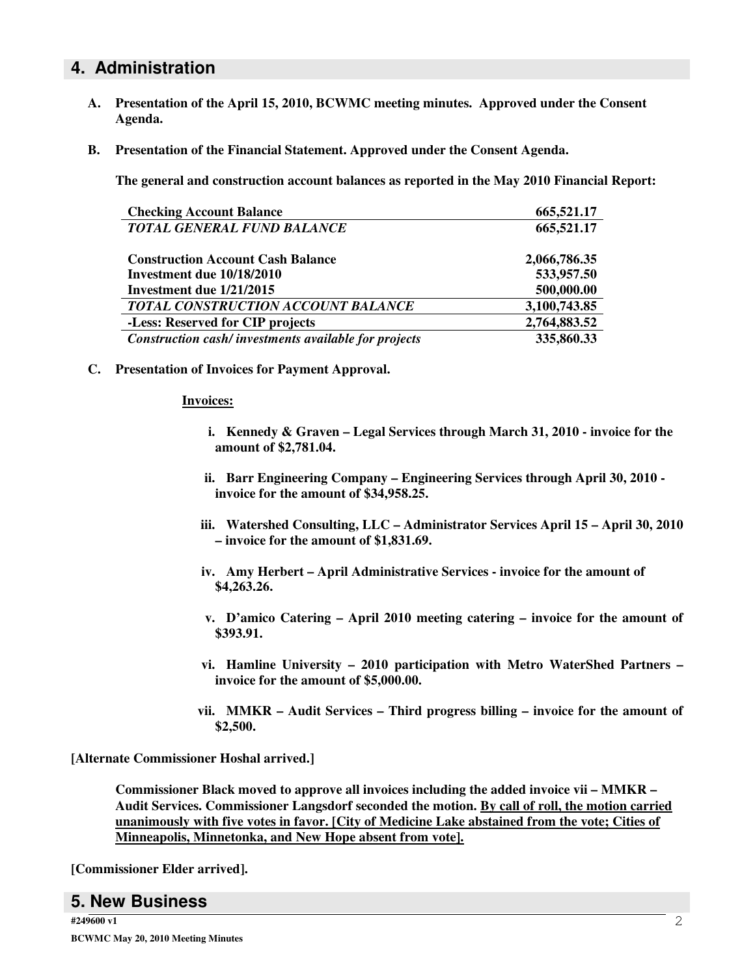### **4. Administration**

- **A. Presentation of the April 15, 2010, BCWMC meeting minutes. Approved under the Consent Agenda.**
- **B. Presentation of the Financial Statement. Approved under the Consent Agenda.**

**The general and construction account balances as reported in the May 2010 Financial Report:**

| <b>Checking Account Balance</b>                      | 665,521.17   |
|------------------------------------------------------|--------------|
| <b>TOTAL GENERAL FUND BALANCE</b>                    | 665,521.17   |
| <b>Construction Account Cash Balance</b>             | 2,066,786.35 |
| Investment due 10/18/2010                            | 533,957.50   |
| Investment due 1/21/2015                             | 500,000.00   |
| TOTAL CONSTRUCTION ACCOUNT BALANCE                   | 3,100,743.85 |
| -Less: Reserved for CIP projects                     | 2,764,883.52 |
| Construction cash/investments available for projects | 335,860.33   |

**C. Presentation of Invoices for Payment Approval.**

#### **Invoices:**

- **i. Kennedy & Graven – Legal Services through March 31, 2010 - invoice for the amount of \$2,781.04.**
- **ii. Barr Engineering Company – Engineering Services through April 30, 2010 invoice for the amount of \$34,958.25.**
- **iii. Watershed Consulting, LLC – Administrator Services April 15 – April 30, 2010 – invoice for the amount of \$1,831.69.**
- **iv. Amy Herbert – April Administrative Services - invoice for the amount of \$4,263.26.**
- **v. D'amico Catering – April 2010 meeting catering – invoice for the amount of \$393.91.**
- **vi. Hamline University – 2010 participation with Metro WaterShed Partners – invoice for the amount of \$5,000.00.**
- **vii. MMKR – Audit Services – Third progress billing – invoice for the amount of \$2,500.**

**[Alternate Commissioner Hoshal arrived.]**

**Commissioner Black moved to approve all invoices including the added invoice vii – MMKR – Audit Services. Commissioner Langsdorf seconded the motion. By call of roll, the motion carried unanimously with five votes in favor. [City of Medicine Lake abstained from the vote; Cities of Minneapolis, Minnetonka, and New Hope absent from vote].**

**[Commissioner Elder arrived].**

#### **5. New Business**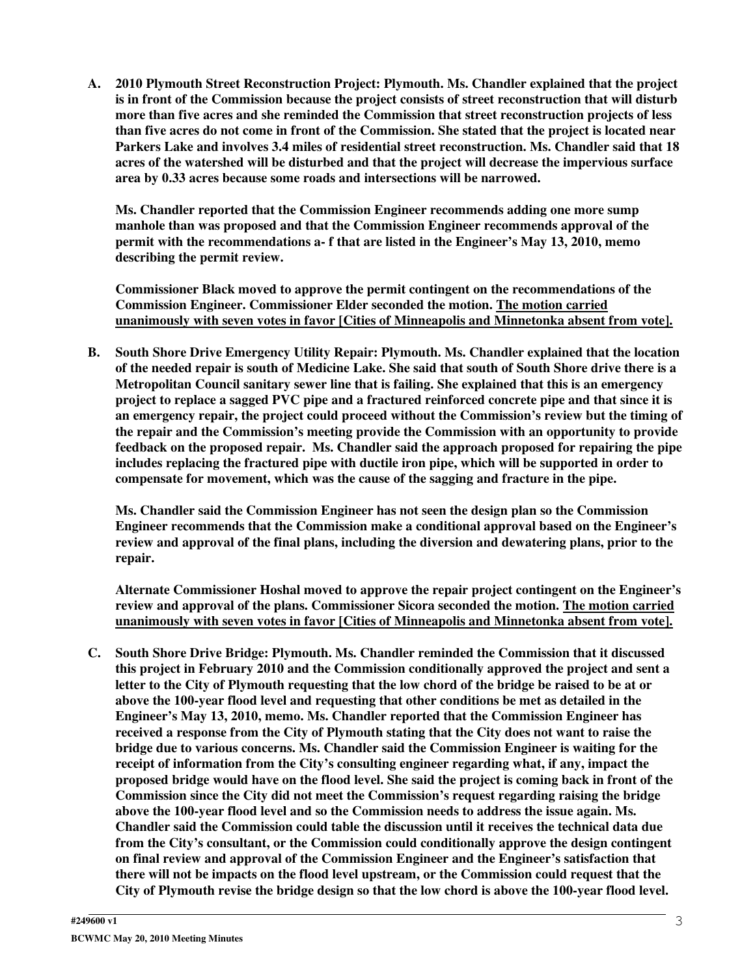**A. 2010 Plymouth Street Reconstruction Project: Plymouth. Ms. Chandler explained that the project is in front of the Commission because the project consists of street reconstruction that will disturb more than five acres and she reminded the Commission that street reconstruction projects of less** than five acres do not come in front of the Commission. She stated that the project is located near **Parkers Lake and involves 3.4 miles of residential street reconstruction. Ms. Chandler said that 18 acres of the watershed will be disturbed and that the project will decrease the impervious surface area by 0.33 acres because some roads and intersections will be narrowed.**

**Ms. Chandler reported that the Commission Engineer recommends adding one more sump manhole than was proposed and that the Commission Engineer recommends approval of the permit with the recommendations a- f that are listed in the Engineer's May 13, 2010, memo describing the permit review.**

**Commissioner Black moved to approve the permit contingent on the recommendations of the Commission Engineer. Commissioner Elder seconded the motion. The motion carried unanimously with seven votes in favor [Cities of Minneapolis and Minnetonka absent from vote].**

**B. South Shore Drive Emergency Utility Repair: Plymouth. Ms. Chandler explained that the location** of the needed repair is south of Medicine Lake. She said that south of South Shore drive there is a **Metropolitan Council sanitary sewer line that is failing. She explained that this is an emergency project to replace a sagged PVC pipe and a fractured reinforced concrete pipe and that since it is an emergency repair, the project could proceed without the Commission's review but the timing of the repair and the Commission's meeting provide the Commission with an opportunity to provide feedback on the proposed repair. Ms. Chandler said the approach proposed for repairing the pipe includes replacing the fractured pipe with ductile iron pipe, which will be supported in order to compensate for movement, which was the cause of the sagging and fracture in the pipe.**

**Ms. Chandler said the Commission Engineer has not seen the design plan so the Commission Engineer recommends that the Commission make a conditional approval based on the Engineer's review and approval of the final plans, including the diversion and dewatering plans, prior to the repair.**

**Alternate Commissioner Hoshal moved to approve the repair project contingent on the Engineer's review and approval of the plans. Commissioner Sicora seconded the motion. The motion carried unanimously with seven votes in favor [Cities of Minneapolis and Minnetonka absent from vote].**

**C. South Shore Drive Bridge: Plymouth. Ms. Chandler reminded the Commission that it discussed this project in February 2010 and the Commission conditionally approved the project and sent a** letter to the City of Plymouth requesting that the low chord of the bridge be raised to be at or **above the 100-year flood level and requesting that other conditions be met as detailed in the Engineer's May 13, 2010, memo. Ms. Chandler reported that the Commission Engineer has received a response from the City of Plymouth stating that the City does not want to raise the bridge due to various concerns. Ms. Chandler said the Commission Engineer is waiting for the receipt of information from the City's consulting engineer regarding what, if any, impact the** proposed bridge would have on the flood level. She said the project is coming back in front of the **Commission since the City did not meet the Commission's request regarding raising the bridge above the 100-year flood level and so the Commission needs to address the issue again. Ms. Chandler said the Commission could table the discussion until it receives the technical data due from the City's consultant, or the Commission could conditionally approve the design contingent on final review and approval of the Commission Engineer and the Engineer's satisfaction that there will not be impacts on the flood level upstream, or the Commission could request that the City of Plymouth revise the bridge design so that the low chord is above the 100-year flood level.**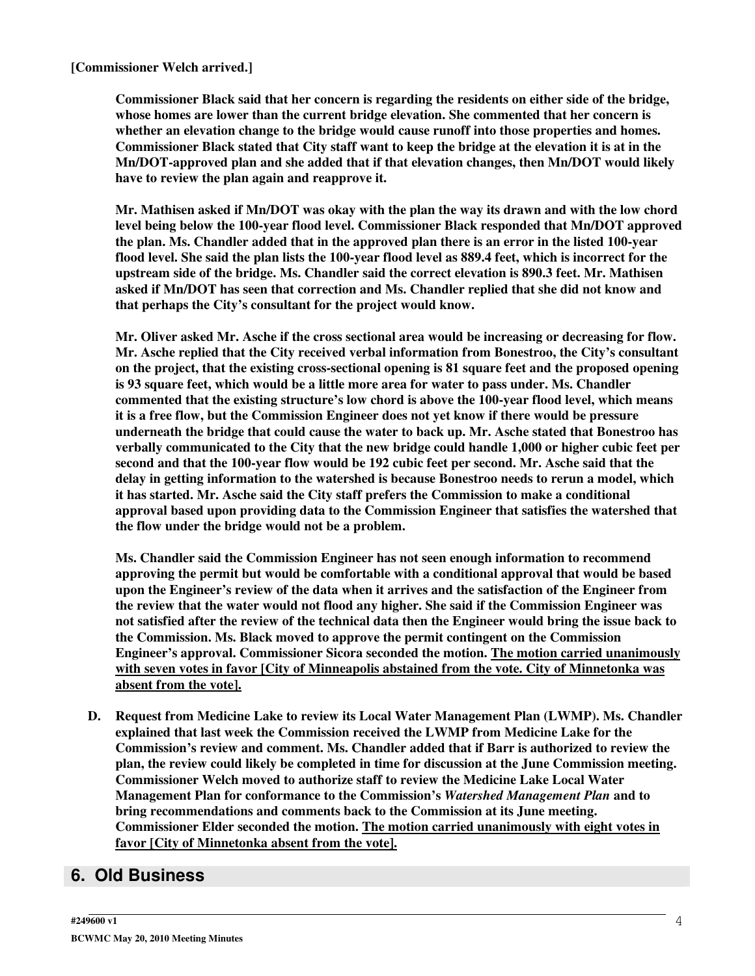**[Commissioner Welch arrived.]**

**Commissioner Black said that her concern is regarding the residents on either side of the bridge, whose homes are lower than the current bridge elevation. She commented that her concern is whether an elevation change to the bridge would cause runoff into those properties and homes.** Commissioner Black stated that City staff want to keep the bridge at the elevation it is at in the **Mn/DOT-approved plan and she added that if that elevation changes, then Mn/DOT would likely have to review the plan again and reapprove it.**

Mr. Mathisen asked if Mn/DOT was okay with the plan the way its drawn and with the low chord **level being below the 100-year flood level. Commissioner Black responded that Mn/DOT approved the plan. Ms. Chandler added that in the approved plan there is an error in the listed 100-year** flood level. She said the plan lists the 100-year flood level as 889.4 feet, which is incorrect for the **upstream side of the bridge. Ms. Chandler said the correct elevation is 890.3 feet. Mr. Mathisen asked if Mn/DOT has seen that correction and Ms. Chandler replied that she did not know and that perhaps the City's consultant for the project would know.**

**Mr. Oliver asked Mr. Asche if the cross sectional area would be increasing or decreasing for flow. Mr. Asche replied that the City received verbal information from Bonestroo, the City's consultant on the project, that the existing cross-sectional opening is 81 square feet and the proposed opening is 93 square feet, which would be a little more area for water to pass under. Ms. Chandler commented that the existing structure's low chord is above the 100-year flood level, which means it is a free flow, but the Commission Engineer does not yet know if there would be pressure underneath the bridge that could cause the water to back up. Mr. Asche stated that Bonestroo has verbally communicated to the City that the new bridge could handle 1,000 or higher cubic feet per second and that the 100-year flow would be 192 cubic feet per second. Mr. Asche said that the delay in getting information to the watershed is because Bonestroo needs to rerun a model, which it has started. Mr. Asche said the City staff prefers the Commission to make a conditional approval based upon providing data to the Commission Engineer that satisfies the watershed that the flow under the bridge would not be a problem.**

**Ms. Chandler said the Commission Engineer has not seen enough information to recommend approving the permit but would be comfortable with a conditional approval that would be based upon the Engineer's review of the data when it arrives and the satisfaction of the Engineer from the review that the water would not flood any higher. She said if the Commission Engineer was** not satisfied after the review of the technical data then the Engineer would bring the issue back to **the Commission. Ms. Black moved to approve the permit contingent on the Commission Engineer's approval. Commissioner Sicora seconded the motion. The motion carried unanimously with seven votes in favor [City of Minneapolis abstained from the vote. City of Minnetonka was absent from the vote].**

**D. Request from Medicine Lake to review its Local Water Management Plan (LWMP). Ms. Chandler explained that last week the Commission received the LWMP from Medicine Lake for the Commission's review and comment. Ms. Chandler added that if Barr is authorized to review the plan, the review could likely be completed in time for discussion at the June Commission meeting. Commissioner Welch moved to authorize staff to review the Medicine Lake Local Water Management Plan for conformance to the Commission's** *Watershed Management Plan* **and to bring recommendations and comments back to the Commission at its June meeting. Commissioner Elder seconded the motion. The motion carried unanimously with eight votes in favor [City of Minnetonka absent from the vote].**

## **6. Old Business**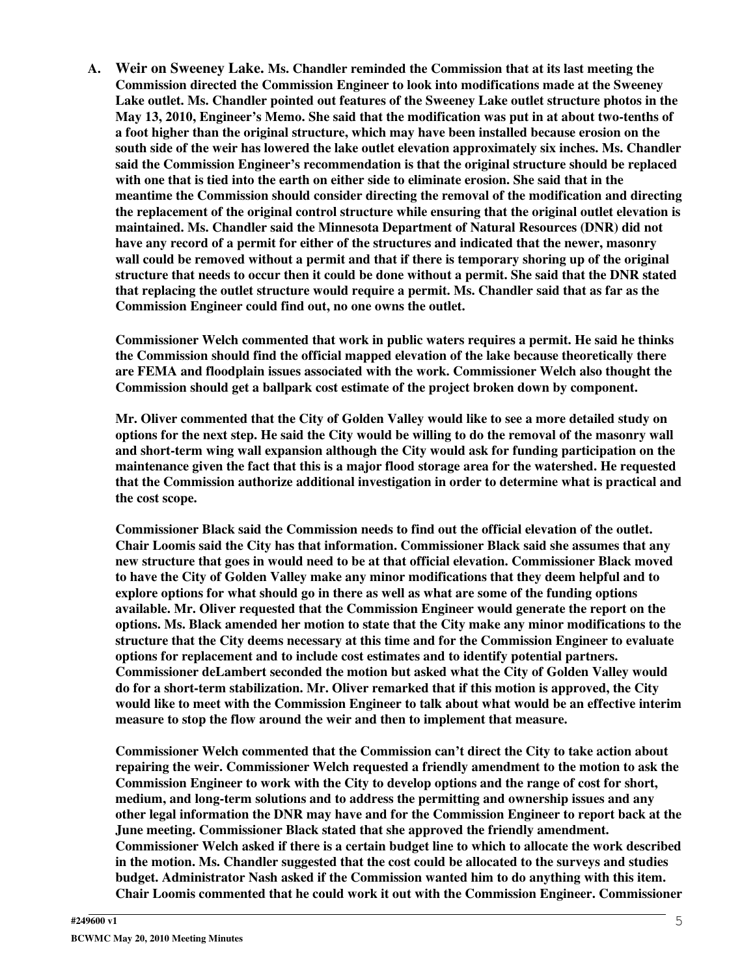**A. Weir on Sweeney Lake. Ms. Chandler reminded the Commission that at its last meeting the Commission directed the Commission Engineer to look into modifications made at the Sweeney Lake outlet. Ms. Chandler pointed out features of the Sweeney Lake outlet structure photos in the May 13, 2010, Engineer's Memo. She said that the modification was put in at about two-tenths of a foot higher than the original structure, which may have been installed because erosion on the south side of the weir has lowered the lake outlet elevation approximately six inches. Ms. Chandler said the Commission Engineer's recommendation is that the original structure should be replaced** with one that is tied into the earth on either side to eliminate erosion. She said that in the **meantime the Commission should consider directing the removal of the modification and directing the replacement of the original control structure while ensuring that the original outlet elevation is maintained. Ms. Chandler said the Minnesota Department of Natural Resources (DNR) did not have any record of a permit for either of the structures and indicated that the newer, masonry wall could be removed without a permit and that if there is temporary shoring up of the original** structure that needs to occur then it could be done without a permit. She said that the DNR stated **that replacing the outlet structure would require a permit. Ms. Chandler said that as far as the Commission Engineer could find out, no one owns the outlet.**

**Commissioner Welch commented that work in public waters requires a permit. He said he thinks the Commission should find the official mapped elevation of the lake because theoretically there are FEMA and floodplain issues associated with the work. Commissioner Welch also thought the Commission should get a ballpark cost estimate of the project broken down by component.**

**Mr. Oliver commented that the City of Golden Valley would like to see a more detailed study on** options for the next step. He said the City would be willing to do the removal of the masonry wall **and short-term wing wall expansion although the City would ask for funding participation on the maintenance given the fact that this is a major flood storage area for the watershed. He requested that the Commission authorize additional investigation in order to determine what is practical and the cost scope.**

**Commissioner Black said the Commission needs to find out the official elevation of the outlet. Chair Loomis said the City has that information. Commissioner Black said she assumes that any new structure that goes in would need to be at that official elevation. Commissioner Black moved to have the City of Golden Valley make any minor modifications that they deem helpful and to explore options for what should go in there as well as what are some of the funding options available. Mr. Oliver requested that the Commission Engineer would generate the report on the options. Ms. Black amended her motion to state that the City make any minor modifications to the structure that the City deems necessary at this time and for the Commission Engineer to evaluate options for replacement and to include cost estimates and to identify potential partners. Commissioner deLambert seconded the motion but asked what the City of Golden Valley would do for a short-term stabilization. Mr. Oliver remarked that if this motion is approved, the City would like to meet with the Commission Engineer to talk about what would be an effective interim measure to stop the flow around the weir and then to implement that measure.**

**Commissioner Welch commented that the Commission can't direct the City to take action about repairing the weir. Commissioner Welch requested a friendly amendment to the motion to ask the Commission Engineer to work with the City to develop options and the range of cost for short, medium, and long-term solutions and to address the permitting and ownership issues and any other legal information the DNR may have and for the Commission Engineer to report back at the June meeting. Commissioner Black stated that she approved the friendly amendment. Commissioner Welch asked if there is a certain budget line to which to allocate the work described in the motion. Ms. Chandler suggested that the cost could be allocated to the surveys and studies budget. Administrator Nash asked if the Commission wanted him to do anything with this item. Chair Loomis commented that he could work it out with the Commission Engineer. Commissioner**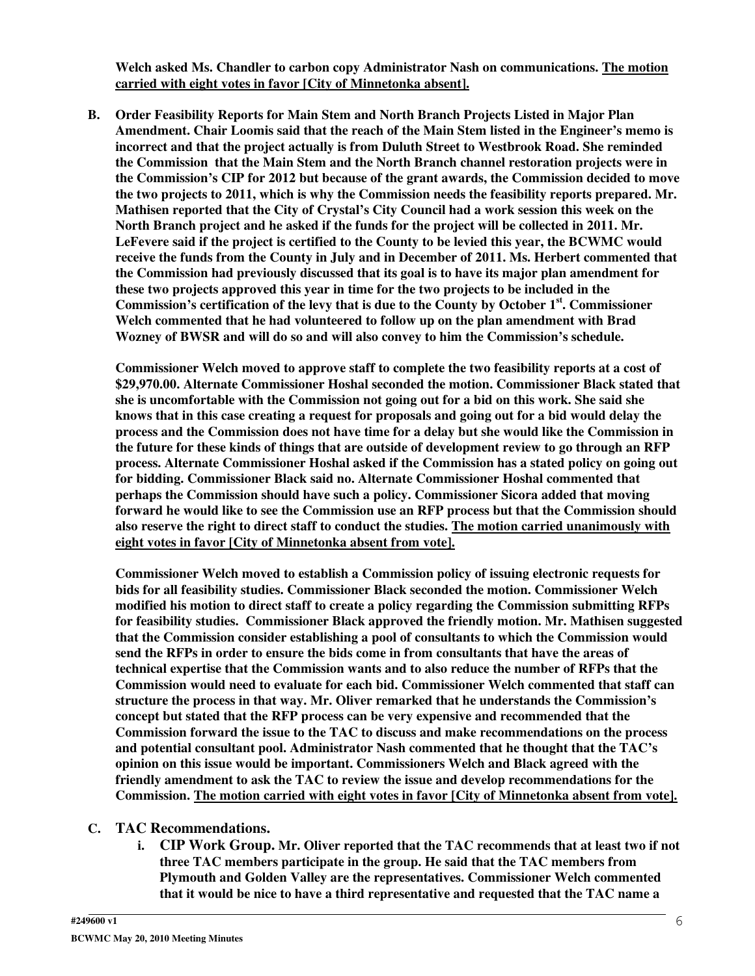**Welch asked Ms. Chandler to carbon copy Administrator Nash on communications. The motion carried with eight votes in favor [City of Minnetonka absent].**

**B. Order Feasibility Reports for Main Stem and North Branch Projects Listed in Major Plan Amendment. Chair Loomis said that the reach of the Main Stem listed in the Engineer's memo is incorrect and that the project actually is from Duluth Street to Westbrook Road. She reminded the Commission that the Main Stem and the North Branch channel restoration projects were in the Commission's CIP for 2012 but because of the grant awards, the Commission decided to move the two projects to 2011, which is why the Commission needs the feasibility reports prepared. Mr. Mathisen reported that the City of Crystal's City Council had a work session this week on the North Branch project and he asked if the funds for the project will be collected in 2011. Mr. LeFevere said if the project is certified to the County to be levied this year, the BCWMC would receive the funds from the County in July and in December of 2011. Ms. Herbert commented that the Commission had previously discussed that its goal is to have its major plan amendment for these two projects approved this year in time for the two projects to be included in the Commission's certification of the levy that is due to the County by October 1 st . Commissioner Welch commented that he had volunteered to follow up on the plan amendment with Brad Wozney of BWSR and will do so and will also convey to him the Commission's schedule.**

**Commissioner Welch moved to approve staff to complete the two feasibility reports at a cost of \$29,970.00. Alternate Commissioner Hoshal seconded the motion. Commissioner Black stated that she is uncomfortable with the Commission not going out for a bid on this work. She said she** knows that in this case creating a request for proposals and going out for a bid would delay the **process and the Commission does not have time for a delay but she would like the Commission in the future for these kinds of things that are outside of development review to go through an RFP process. Alternate Commissioner Hoshal asked if the Commission has a stated policy on going out for bidding. Commissioner Black said no. Alternate Commissioner Hoshal commented that perhaps the Commission should have such a policy. Commissioner Sicora added that moving forward he would like to see the Commission use an RFP process but that the Commission should also reserve the right to direct staff to conduct the studies. The motion carried unanimously with eight votes in favor [City of Minnetonka absent from vote].**

**Commissioner Welch moved to establish a Commission policy of issuing electronic requests for bids for all feasibility studies. Commissioner Black seconded the motion. Commissioner Welch modified his motion to direct staff to create a policy regarding the Commission submitting RFPs for feasibility studies. Commissioner Black approved the friendly motion. Mr. Mathisen suggested that the Commission consider establishing a pool of consultants to which the Commission would send the RFPs in order to ensure the bids come in from consultants that have the areas of technical expertise that the Commission wants and to also reduce the number of RFPs that the Commission would need to evaluate for each bid. Commissioner Welch commented that staff can structure the process in that way. Mr. Oliver remarked that he understands the Commission's concept but stated that the RFP process can be very expensive and recommended that the Commission forward the issue to the TAC to discuss and make recommendations on the process and potential consultant pool. Administrator Nash commented that he thought that the TAC's opinion on this issue would be important. Commissioners Welch and Black agreed with the friendly amendment to ask the TAC to review the issue and develop recommendations for the Commission. The motion carried with eight votes in favor [City of Minnetonka absent from vote].**

#### **C. TAC Recommendations.**

**i. CIP Work Group. Mr. Oliver reported that the TAC recommends that at least two if not three TAC members participate in the group. He said that the TAC members from Plymouth and Golden Valley are the representatives. Commissioner Welch commented that it would be nice to have a third representative and requested that the TAC name a**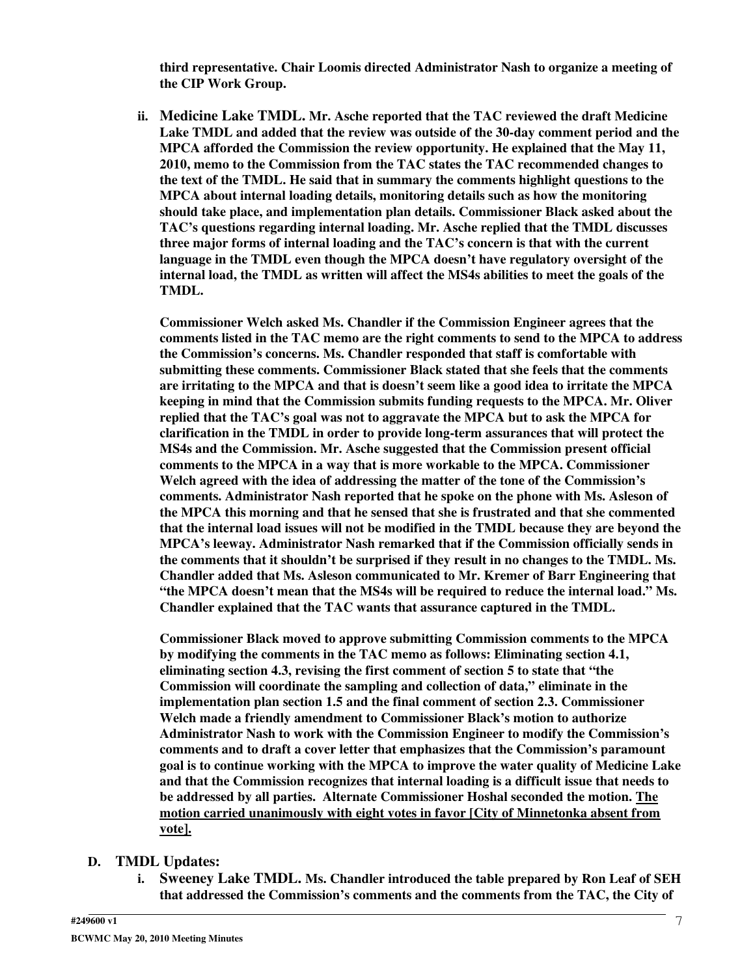**third representative. Chair Loomis directed Administrator Nash to organize a meeting of the CIP Work Group.**

**ii. Medicine Lake TMDL. Mr. Asche reported that the TAC reviewed the draft Medicine Lake TMDL and added that the review was outside of the 30-day comment period and the MPCA afforded the Commission the review opportunity. He explained that the May 11, 2010, memo to the Commission from the TAC states the TAC recommended changes to the text of the TMDL. He said that in summary the comments highlight questions to the MPCA about internal loading details, monitoring details such as how the monitoring should take place, and implementation plan details. Commissioner Black asked about the TAC's questions regarding internal loading. Mr. Asche replied that the TMDL discusses three major forms of internal loading and the TAC's concern is that with the current language in the TMDL even though the MPCA doesn't have regulatory oversight of the internal load, the TMDL as written will affect the MS4s abilities to meet the goals of the TMDL.**

**Commissioner Welch asked Ms. Chandler if the Commission Engineer agrees that the comments listed in the TAC memo are the right comments to send to the MPCA to address the Commission's concerns. Ms. Chandler responded that staff is comfortable with submitting these comments. Commissioner Black stated that she feels that the comments are irritating to the MPCA and that is doesn't seem like a good idea to irritate the MPCA keeping in mind that the Commission submits funding requests to the MPCA. Mr. Oliver replied that the TAC's goal was not to aggravate the MPCA but to ask the MPCA for clarification in the TMDL in order to provide long-term assurances that will protect the MS4s and the Commission. Mr. Asche suggested that the Commission present official comments to the MPCA in a way that is more workable to the MPCA. Commissioner Welch agreed with the idea of addressing the matter of the tone of the Commission's comments. Administrator Nash reported that he spoke on the phone with Ms. Asleson of the MPCA this morning and that he sensed that she is frustrated and that she commented that the internal load issues will not be modified in the TMDL because they are beyond the MPCA's leeway. Administrator Nash remarked that if the Commission officially sends in the comments that it shouldn't be surprised if they result in no changes to the TMDL. Ms. Chandler added that Ms. Asleson communicated to Mr. Kremer of Barr Engineering that "the MPCA doesn't mean that the MS4s will be required to reduce the internal load." Ms. Chandler explained that the TAC wants that assurance captured in the TMDL.**

**Commissioner Black moved to approve submitting Commission comments to the MPCA by modifying the comments in the TAC memo as follows: Eliminating section 4.1, eliminating section 4.3, revising the first comment of section 5 to state that "the Commission will coordinate the sampling and collection of data," eliminate in the implementation plan section 1.5 and the final comment of section 2.3. Commissioner Welch made a friendly amendment to Commissioner Black's motion to authorize Administrator Nash to work with the Commission Engineer to modify the Commission's comments and to draft a cover letter that emphasizes that the Commission's paramount goal is to continue working with the MPCA to improve the water quality of Medicine Lake and that the Commission recognizes that internal loading is a difficult issue that needs to be addressed by all parties. Alternate Commissioner Hoshal seconded the motion. The motion carried unanimously with eight votes in favor [City of Minnetonka absent from vote].**

- **D. TMDL Updates:**
	- **i. Sweeney Lake TMDL. Ms. Chandler introduced the table prepared by Ron Leaf of SEH that addressed the Commission's comments and the comments from the TAC, the City of**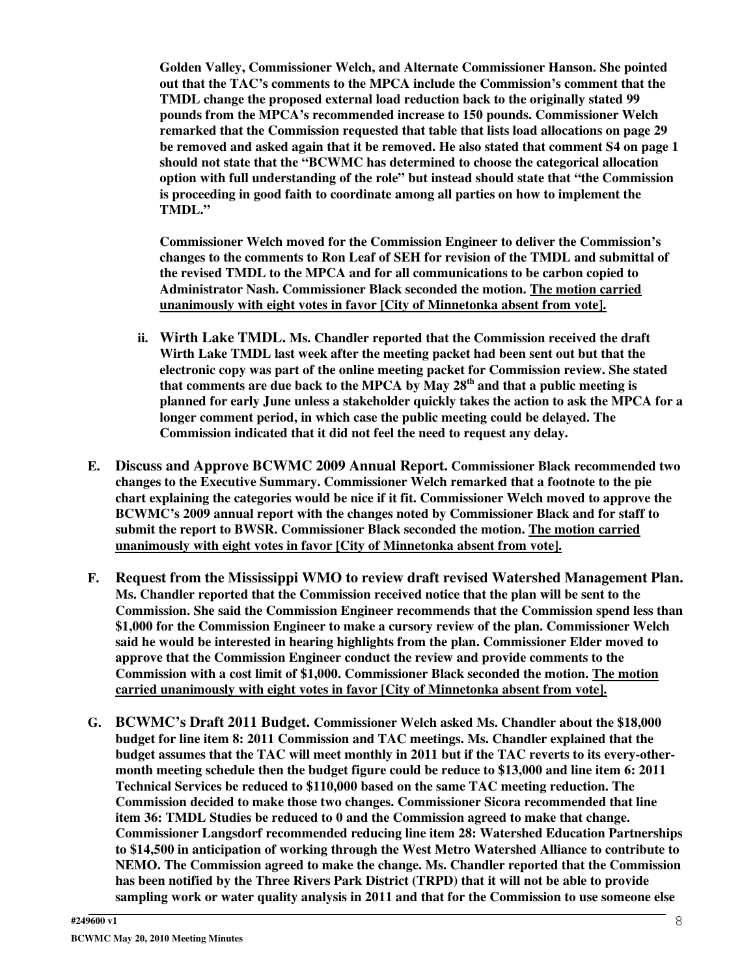**Golden Valley, Commissioner Welch, and Alternate Commissioner Hanson. She pointed out that the TAC's comments to the MPCA include the Commission's comment that the TMDL change the proposed external load reduction back to the originally stated 99 pounds from the MPCA's recommended increase to 150 pounds. Commissioner Welch remarked that the Commission requested that table that lists load allocations on page 29 be removed and asked again that it be removed. He also stated that comment S4 on page 1 should not state that the "BCWMC has determined to choose the categorical allocation option with full understanding of the role" but instead should state that "the Commission is proceeding in good faith to coordinate among all parties on how to implement the TMDL."**

**Commissioner Welch moved for the Commission Engineer to deliver the Commission's changes to the comments to Ron Leaf of SEH for revision of the TMDL and submittal of the revised TMDL to the MPCA and for all communications to be carbon copied to Administrator Nash. Commissioner Black seconded the motion. The motion carried unanimously with eight votes in favor [City of Minnetonka absent from vote].**

- **ii. Wirth Lake TMDL. Ms. Chandler reported that the Commission received the draft Wirth Lake TMDL last week after the meeting packet had been sent out but that the electronic copy was part of the online meeting packet for Commission review. She stated that comments are due back to the MPCA by May 28 th and that a public meeting is planned for early June unless a stakeholder quickly takes the action to ask the MPCA for a longer comment period, in which case the public meeting could be delayed. The Commission indicated that it did not feel the need to request any delay.**
- **E. Discuss and Approve BCWMC 2009 Annual Report. Commissioner Black recommended two changes to the Executive Summary. Commissioner Welch remarked that a footnote to the pie chart explaining the categories would be nice if it fit. Commissioner Welch moved to approve the BCWMC's 2009 annual report with the changes noted by Commissioner Black and for staff to submit the report to BWSR. Commissioner Black seconded the motion. The motion carried unanimously with eight votes in favor [City of Minnetonka absent from vote].**
- **F. Request from the Mississippi WMO to review draft revised Watershed Management Plan. Ms. Chandler reported that the Commission received notice that the plan will be sent to the Commission. She said the Commission Engineer recommends that the Commission spend less than \$1,000 for the Commission Engineer to make a cursory review of the plan. Commissioner Welch said he would be interested in hearing highlights from the plan. Commissioner Elder moved to approve that the Commission Engineer conduct the review and provide comments to the Commission with a cost limit of \$1,000. Commissioner Black seconded the motion. The motion carried unanimously with eight votes in favor [City of Minnetonka absent from vote].**
- **G. BCWMC's Draft 2011 Budget. Commissioner Welch asked Ms. Chandler about the \$18,000 budget for line item 8: 2011 Commission and TAC meetings. Ms. Chandler explained that the budget assumes that the TAC will meet monthly in 2011 but if the TAC reverts to its every-othermonth meeting schedule then the budget figure could be reduce to \$13,000 and line item 6: 2011 Technical Services be reduced to \$110,000 based on the same TAC meeting reduction. The Commission decided to make those two changes. Commissioner Sicora recommended that line item 36: TMDL Studies be reduced to 0 and the Commission agreed to make that change. Commissioner Langsdorf recommended reducing line item 28: Watershed Education Partnerships to \$14,500 in anticipation of working through the West Metro Watershed Alliance to contribute to NEMO. The Commission agreed to make the change. Ms. Chandler reported that the Commission has been notified by the Three Rivers Park District (TRPD) that it will not be able to provide sampling work or water quality analysis in 2011 and that for the Commission to use someone else**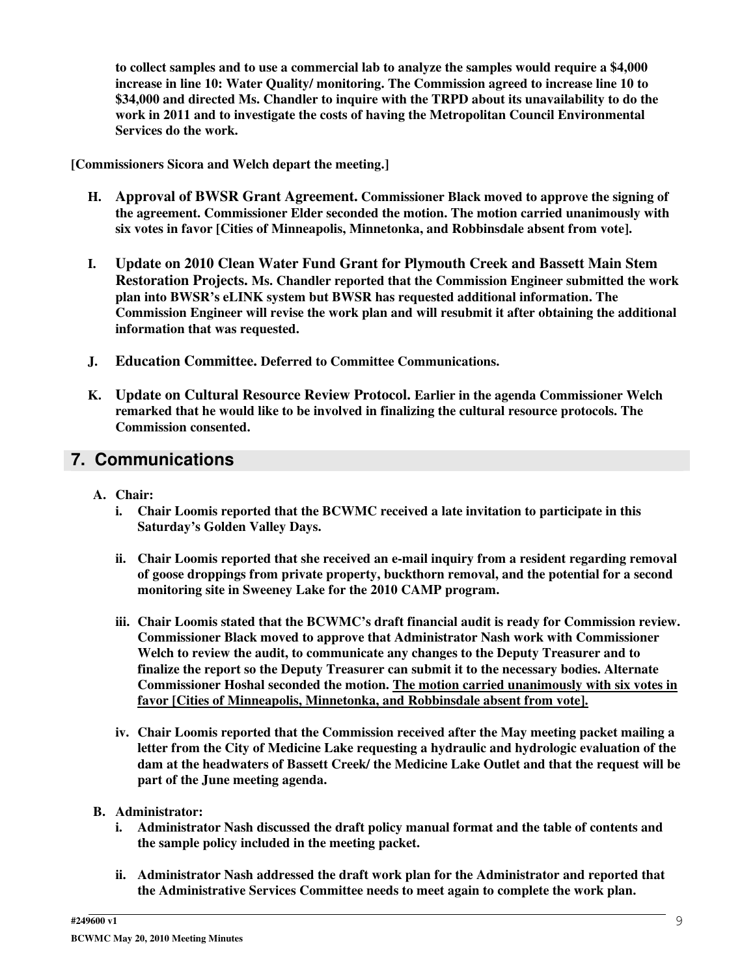**to collect samples and to use a commercial lab to analyze the samples would require a \$4,000 increase in line 10: Water Quality/ monitoring. The Commission agreed to increase line 10 to \$34,000 and directed Ms. Chandler to inquire with the TRPD about its unavailability to do the work in 2011 and to investigate the costs of having the Metropolitan Council Environmental Services do the work.**

**[Commissioners Sicora and Welch depart the meeting.]**

- **H. Approval of BWSR Grant Agreement. Commissioner Black moved to approve the signing of the agreement. Commissioner Elder seconded the motion. The motion carried unanimously with six votes in favor [Cities of Minneapolis, Minnetonka, and Robbinsdale absent from vote].**
- **I. Update on 2010 Clean Water Fund Grant for Plymouth Creek and Bassett Main Stem Restoration Projects. Ms. Chandler reported that the Commission Engineer submitted the work plan into BWSR's eLINK system but BWSR has requested additional information. The Commission Engineer will revise the work plan and will resubmit it after obtaining the additional information that was requested.**
- **J. Education Committee. Deferred to Committee Communications.**
- **K. Update on Cultural Resource Review Protocol. Earlier in the agenda Commissioner Welch remarked that he would like to be involved in finalizing the cultural resource protocols. The Commission consented.**

### **7. Communications**

- **A. Chair:**
	- **i. Chair Loomis reported that the BCWMC received a late invitation to participate in this Saturday's Golden Valley Days.**
	- **ii. Chair Loomis reported that she received an e-mail inquiry from a resident regarding removal of goose droppings from private property, buckthorn removal, and the potential for a second monitoring site in Sweeney Lake for the 2010 CAMP program.**
	- **iii. Chair Loomis stated that the BCWMC's draft financial audit is ready for Commission review. Commissioner Black moved to approve that Administrator Nash work with Commissioner Welch to review the audit, to communicate any changes to the Deputy Treasurer and to finalize the report so the Deputy Treasurer can submit it to the necessary bodies. Alternate Commissioner Hoshal seconded the motion. The motion carried unanimously with six votes in favor [Cities of Minneapolis, Minnetonka, and Robbinsdale absent from vote].**
	- **iv. Chair Loomis reported that the Commission received after the May meeting packet mailing a letter from the City of Medicine Lake requesting a hydraulic and hydrologic evaluation of the dam at the headwaters of Bassett Creek/ the Medicine Lake Outlet and that the request will be part of the June meeting agenda.**
- **B. Administrator:**
	- **i. Administrator Nash discussed the draft policy manual format and the table of contents and the sample policy included in the meeting packet.**
	- **ii. Administrator Nash addressed the draft work plan for the Administrator and reported that the Administrative Services Committee needs to meet again to complete the work plan.**